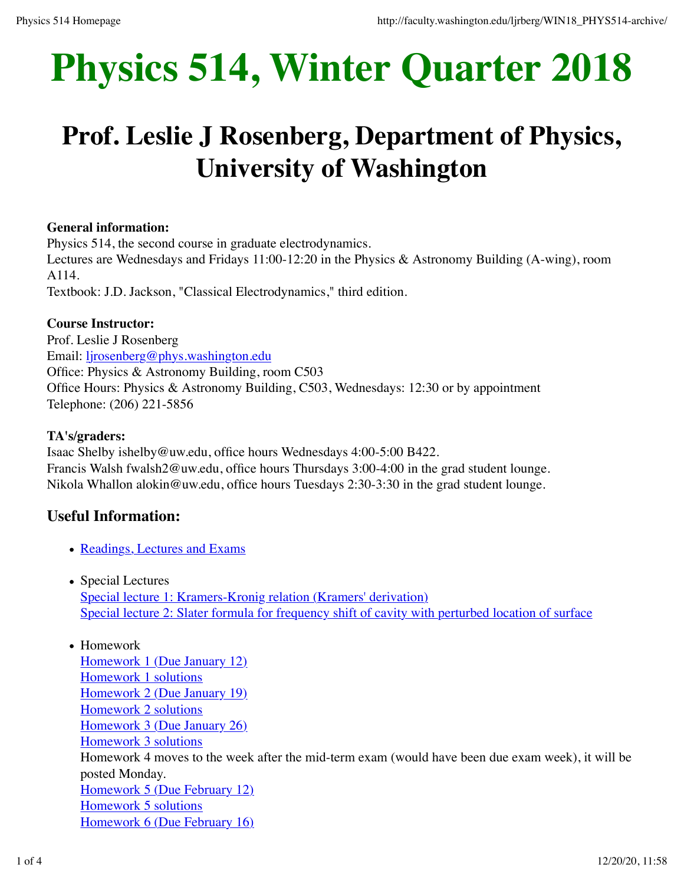# **Physics 514, Winter Quarter 2018**

# **Prof. Leslie J Rosenberg, Department of Physics, University of Washington**

# **General information:**

Physics 514, the second course in graduate electrodynamics. Lectures are Wednesdays and Fridays 11:00-12:20 in the Physics & Astronomy Building (A-wing), room

A114.

Textbook: J.D. Jackson, "Classical Electrodynamics," third edition.

### **Course Instructor:**

Prof. Leslie J Rosenberg Email: ljrosenberg@phys.washington.edu Office: Physics & Astronomy Building, room C503 Office Hours: Physics & Astronomy Building, C503, Wednesdays: 12:30 or by appointment Telephone: (206) 221-5856

### **TA's/graders:**

Isaac Shelby ishelby@uw.edu, office hours Wednesdays 4:00-5:00 B422. Francis Walsh fwalsh2@uw.edu, office hours Thursdays 3:00-4:00 in the grad student lounge. Nikola Whallon alokin@uw.edu, office hours Tuesdays 2:30-3:30 in the grad student lounge.

# **Useful Information:**

- Readings, Lectures and Exams
- Special Lectures Special lecture 1: Kramers-Kronig relation (Kramers' derivation) Special lecture 2: Slater formula for frequency shift of cavity with perturbed location of surface
- Homework Homework 1 (Due January 12) Homework 1 solutions Homework 2 (Due January 19) Homework 2 solutions Homework 3 (Due January 26) Homework 3 solutions Homework 4 moves to the week after the mid-term exam (would have been due exam week), it will be posted Monday. Homework 5 (Due February 12) Homework 5 solutions Homework 6 (Due February 16)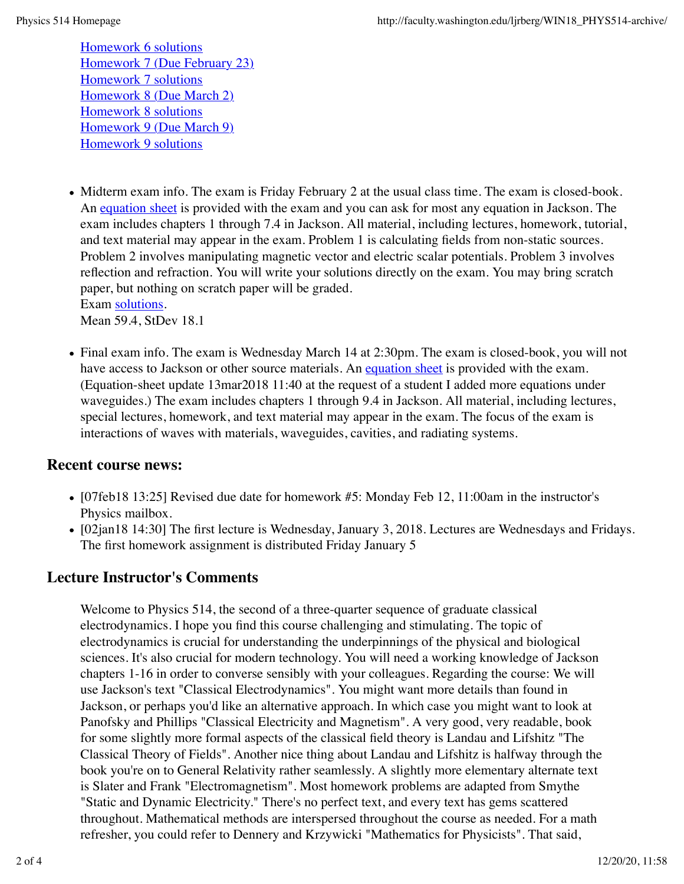Homework 6 solutions Homework 7 (Due February 23) Homework 7 solutions Homework 8 (Due March 2) Homework 8 solutions Homework 9 (Due March 9) Homework 9 solutions

- Midterm exam info. The exam is Friday February 2 at the usual class time. The exam is closed-book. An equation sheet is provided with the exam and you can ask for most any equation in Jackson. The exam includes chapters 1 through 7.4 in Jackson. All material, including lectures, homework, tutorial, and text material may appear in the exam. Problem 1 is calculating fields from non-static sources. Problem 2 involves manipulating magnetic vector and electric scalar potentials. Problem 3 involves reflection and refraction. You will write your solutions directly on the exam. You may bring scratch paper, but nothing on scratch paper will be graded. Exam solutions. Mean 59.4, StDev 18.1
- Final exam info. The exam is Wednesday March 14 at 2:30pm. The exam is closed-book, you will not have access to Jackson or other source materials. An equation sheet is provided with the exam. (Equation-sheet update 13mar2018 11:40 at the request of a student I added more equations under waveguides.) The exam includes chapters 1 through 9.4 in Jackson. All material, including lectures, special lectures, homework, and text material may appear in the exam. The focus of the exam is interactions of waves with materials, waveguides, cavities, and radiating systems.

# **Recent course news:**

- [07feb18 13:25] Revised due date for homework #5: Monday Feb 12, 11:00am in the instructor's Physics mailbox.
- [02jan18 14:30] The first lecture is Wednesday, January 3, 2018. Lectures are Wednesdays and Fridays. The first homework assignment is distributed Friday January 5

# **Lecture Instructor's Comments**

Welcome to Physics 514, the second of a three-quarter sequence of graduate classical electrodynamics. I hope you find this course challenging and stimulating. The topic of electrodynamics is crucial for understanding the underpinnings of the physical and biological sciences. It's also crucial for modern technology. You will need a working knowledge of Jackson chapters 1-16 in order to converse sensibly with your colleagues. Regarding the course: We will use Jackson's text "Classical Electrodynamics". You might want more details than found in Jackson, or perhaps you'd like an alternative approach. In which case you might want to look at Panofsky and Phillips "Classical Electricity and Magnetism". A very good, very readable, book for some slightly more formal aspects of the classical field theory is Landau and Lifshitz "The Classical Theory of Fields". Another nice thing about Landau and Lifshitz is halfway through the book you're on to General Relativity rather seamlessly. A slightly more elementary alternate text is Slater and Frank "Electromagnetism". Most homework problems are adapted from Smythe "Static and Dynamic Electricity." There's no perfect text, and every text has gems scattered throughout. Mathematical methods are interspersed throughout the course as needed. For a math refresher, you could refer to Dennery and Krzywicki "Mathematics for Physicists". That said,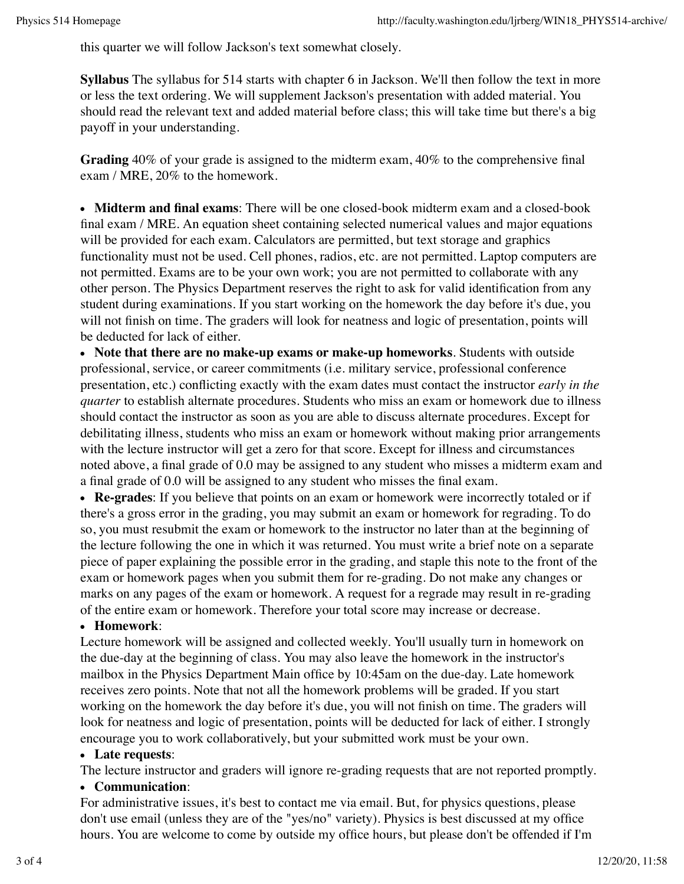this quarter we will follow Jackson's text somewhat closely.

**Syllabus** The syllabus for 514 starts with chapter 6 in Jackson. We'll then follow the text in more or less the text ordering. We will supplement Jackson's presentation with added material. You should read the relevant text and added material before class; this will take time but there's a big payoff in your understanding.

**Grading** 40% of your grade is assigned to the midterm exam, 40% to the comprehensive final exam / MRE, 20% to the homework.

**Midterm and final exams**: There will be one closed-book midterm exam and a closed-book final exam / MRE. An equation sheet containing selected numerical values and major equations will be provided for each exam. Calculators are permitted, but text storage and graphics functionality must not be used. Cell phones, radios, etc. are not permitted. Laptop computers are not permitted. Exams are to be your own work; you are not permitted to collaborate with any other person. The Physics Department reserves the right to ask for valid identification from any student during examinations. If you start working on the homework the day before it's due, you will not finish on time. The graders will look for neatness and logic of presentation, points will be deducted for lack of either.

**Note that there are no make-up exams or make-up homeworks**. Students with outside professional, service, or career commitments (i.e. military service, professional conference presentation, etc.) conflicting exactly with the exam dates must contact the instructor *early in the quarter* to establish alternate procedures. Students who miss an exam or homework due to illness should contact the instructor as soon as you are able to discuss alternate procedures. Except for debilitating illness, students who miss an exam or homework without making prior arrangements with the lecture instructor will get a zero for that score. Except for illness and circumstances noted above, a final grade of 0.0 may be assigned to any student who misses a midterm exam and a final grade of 0.0 will be assigned to any student who misses the final exam.

**Re-grades**: If you believe that points on an exam or homework were incorrectly totaled or if there's a gross error in the grading, you may submit an exam or homework for regrading. To do so, you must resubmit the exam or homework to the instructor no later than at the beginning of the lecture following the one in which it was returned. You must write a brief note on a separate piece of paper explaining the possible error in the grading, and staple this note to the front of the exam or homework pages when you submit them for re-grading. Do not make any changes or marks on any pages of the exam or homework. A request for a regrade may result in re-grading of the entire exam or homework. Therefore your total score may increase or decrease.

# **Homework**:

Lecture homework will be assigned and collected weekly. You'll usually turn in homework on the due-day at the beginning of class. You may also leave the homework in the instructor's mailbox in the Physics Department Main office by 10:45am on the due-day. Late homework receives zero points. Note that not all the homework problems will be graded. If you start working on the homework the day before it's due, you will not finish on time. The graders will look for neatness and logic of presentation, points will be deducted for lack of either. I strongly encourage you to work collaboratively, but your submitted work must be your own.

#### **Late requests**:

The lecture instructor and graders will ignore re-grading requests that are not reported promptly.

#### **Communication**:

For administrative issues, it's best to contact me via email. But, for physics questions, please don't use email (unless they are of the "yes/no" variety). Physics is best discussed at my office hours. You are welcome to come by outside my office hours, but please don't be offended if I'm